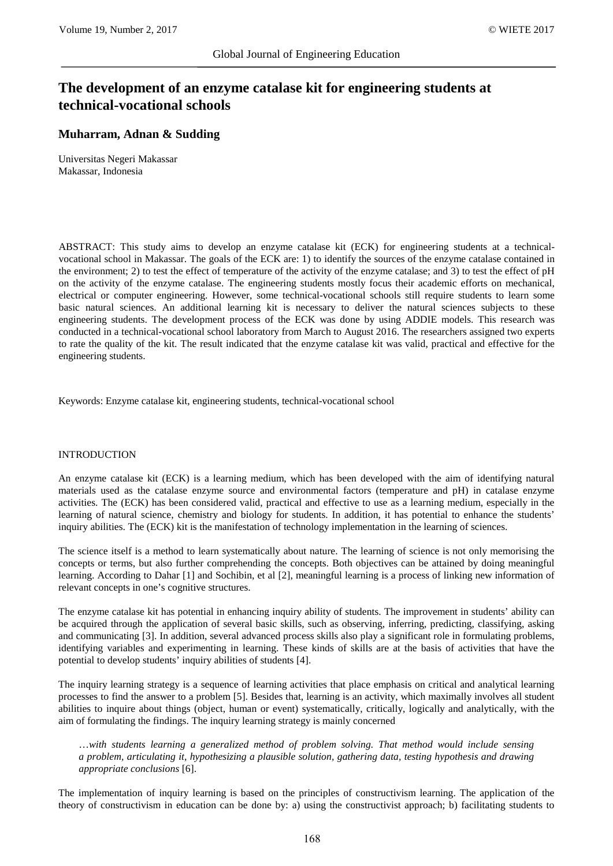# **The development of an enzyme catalase kit for engineering students at technical-vocational schools**

# **Muharram, Adnan & Sudding**

Universitas Negeri Makassar Makassar, Indonesia

ABSTRACT: This study aims to develop an enzyme catalase kit (ECK) for engineering students at a technicalvocational school in Makassar. The goals of the ECK are: 1) to identify the sources of the enzyme catalase contained in the environment; 2) to test the effect of temperature of the activity of the enzyme catalase; and 3) to test the effect of pH on the activity of the enzyme catalase. The engineering students mostly focus their academic efforts on mechanical, electrical or computer engineering. However, some technical-vocational schools still require students to learn some basic natural sciences. An additional learning kit is necessary to deliver the natural sciences subjects to these engineering students. The development process of the ECK was done by using ADDIE models. This research was conducted in a technical-vocational school laboratory from March to August 2016. The researchers assigned two experts to rate the quality of the kit. The result indicated that the enzyme catalase kit was valid, practical and effective for the engineering students.

Keywords: Enzyme catalase kit, engineering students, technical-vocational school

### INTRODUCTION

An enzyme catalase kit (ECK) is a learning medium, which has been developed with the aim of identifying natural materials used as the catalase enzyme source and environmental factors (temperature and pH) in catalase enzyme activities. The (ECK) has been considered valid, practical and effective to use as a learning medium, especially in the learning of natural science, chemistry and biology for students. In addition, it has potential to enhance the students' inquiry abilities. The (ECK) kit is the manifestation of technology implementation in the learning of sciences.

The science itself is a method to learn systematically about nature. The learning of science is not only memorising the concepts or terms, but also further comprehending the concepts. Both objectives can be attained by doing meaningful learning. According to Dahar [1] and Sochibin, et al [2], meaningful learning is a process of linking new information of relevant concepts in one's cognitive structures.

The enzyme catalase kit has potential in enhancing inquiry ability of students. The improvement in students' ability can be acquired through the application of several basic skills, such as observing, inferring, predicting, classifying, asking and communicating [3]. In addition, several advanced process skills also play a significant role in formulating problems, identifying variables and experimenting in learning. These kinds of skills are at the basis of activities that have the potential to develop students' inquiry abilities of students [4].

The inquiry learning strategy is a sequence of learning activities that place emphasis on critical and analytical learning processes to find the answer to a problem [5]. Besides that, learning is an activity, which maximally involves all student abilities to inquire about things (object, human or event) systematically, critically, logically and analytically, with the aim of formulating the findings. The inquiry learning strategy is mainly concerned

…*with students learning a generalized method of problem solving. That method would include sensing a problem, articulating it, hypothesizing a plausible solution, gathering data, testing hypothesis and drawing appropriate conclusions* [6].

The implementation of inquiry learning is based on the principles of constructivism learning. The application of the theory of constructivism in education can be done by: a) using the constructivist approach; b) facilitating students to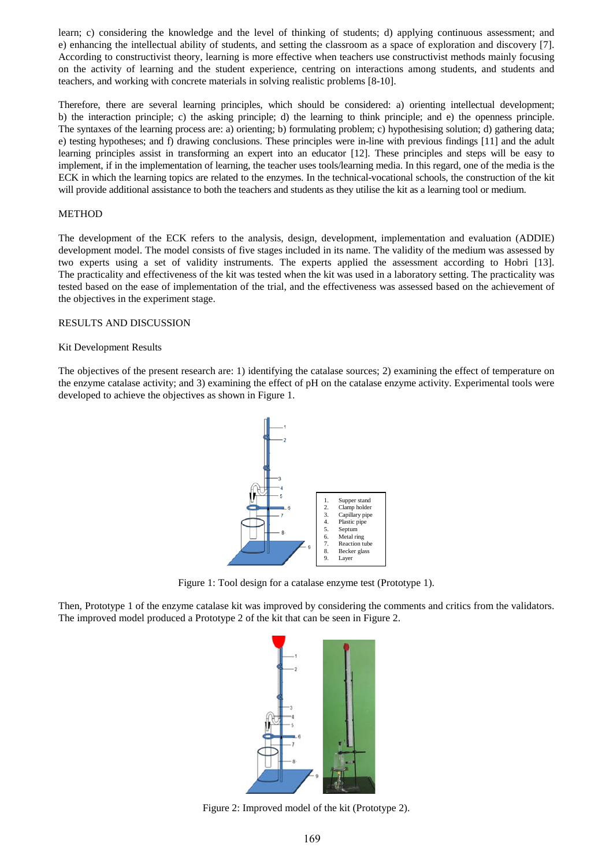learn; c) considering the knowledge and the level of thinking of students; d) applying continuous assessment; and e) enhancing the intellectual ability of students, and setting the classroom as a space of exploration and discovery [7]. According to constructivist theory, learning is more effective when teachers use constructivist methods mainly focusing on the activity of learning and the student experience, centring on interactions among students, and students and teachers, and working with concrete materials in solving realistic problems [8-10].

Therefore, there are several learning principles, which should be considered: a) orienting intellectual development; b) the interaction principle; c) the asking principle; d) the learning to think principle; and e) the openness principle. The syntaxes of the learning process are: a) orienting; b) formulating problem; c) hypothesising solution; d) gathering data; e) testing hypotheses; and f) drawing conclusions. These principles were in-line with previous findings [11] and the adult learning principles assist in transforming an expert into an educator [12]. These principles and steps will be easy to implement, if in the implementation of learning, the teacher uses tools/learning media. In this regard, one of the media is the ECK in which the learning topics are related to the enzymes. In the technical-vocational schools, the construction of the kit will provide additional assistance to both the teachers and students as they utilise the kit as a learning tool or medium.

### METHOD

The development of the ECK refers to the analysis, design, development, implementation and evaluation (ADDIE) development model. The model consists of five stages included in its name. The validity of the medium was assessed by two experts using a set of validity instruments. The experts applied the assessment according to Hobri [13]. The practicality and effectiveness of the kit was tested when the kit was used in a laboratory setting. The practicality was tested based on the ease of implementation of the trial, and the effectiveness was assessed based on the achievement of the objectives in the experiment stage.

#### RESULTS AND DISCUSSION

#### Kit Development Results

The objectives of the present research are: 1) identifying the catalase sources; 2) examining the effect of temperature on the enzyme catalase activity; and 3) examining the effect of pH on the catalase enzyme activity. Experimental tools were developed to achieve the objectives as shown in Figure 1.



Figure 1: Tool design for a catalase enzyme test (Prototype 1).

Then, Prototype 1 of the enzyme catalase kit was improved by considering the comments and critics from the validators. The improved model produced a Prototype 2 of the kit that can be seen in Figure 2.



Figure 2: Improved model of the kit (Prototype 2).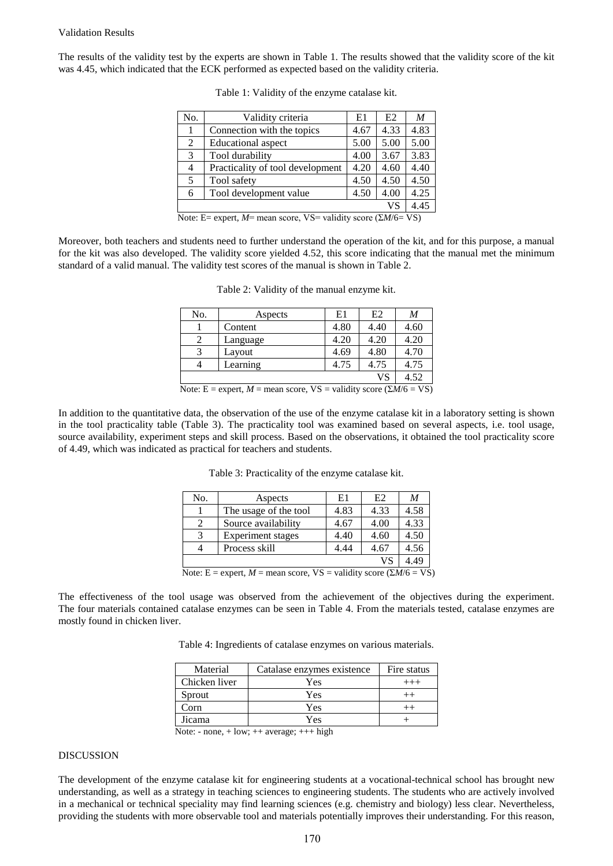#### Validation Results

The results of the validity test by the experts are shown in Table 1. The results showed that the validity score of the kit was 4.45, which indicated that the ECK performed as expected based on the validity criteria.

| No.            | Validity criteria                | E1   | E <sub>2</sub> | M    |
|----------------|----------------------------------|------|----------------|------|
|                | Connection with the topics       | 4.67 | 4.33           | 4.83 |
| $\overline{2}$ | <b>Educational</b> aspect        | 5.00 | 5.00           | 5.00 |
| 3              | Tool durability                  | 4.00 | 3.67           | 3.83 |
| $\overline{4}$ | Practicality of tool development | 4.20 | 4.60           | 4.40 |
| 5              | Tool safety                      | 4.50 | 4.50           | 4.50 |
| 6              | Tool development value           | 4.50 | 4.00           | 4.25 |
| VS             |                                  |      |                | 4.45 |

|  | Table 1: Validity of the enzyme catalase kit. |  |  |  |  |
|--|-----------------------------------------------|--|--|--|--|
|--|-----------------------------------------------|--|--|--|--|

Note: E= expert, *M*= mean score, VS= validity score (Σ*M*/6= VS)

Moreover, both teachers and students need to further understand the operation of the kit, and for this purpose, a manual for the kit was also developed. The validity score yielded 4.52, this score indicating that the manual met the minimum standard of a valid manual. The validity test scores of the manual is shown in Table 2.

| No.                                                                         | Aspects  | E1   | E2   | M    |  |
|-----------------------------------------------------------------------------|----------|------|------|------|--|
|                                                                             | Content  | 4.80 | 4.40 | 4.60 |  |
|                                                                             | Language | 4.20 | 4.20 | 4.20 |  |
| 3                                                                           | Layout   | 4.69 | 4.80 | 4.70 |  |
|                                                                             | Learning | 4.75 | 4.75 | 4.75 |  |
| 4.52<br>VS                                                                  |          |      |      |      |  |
| Note: E = expert, M = mean score, VS = validity score ( $\Sigma M/6 = VS$ ) |          |      |      |      |  |

In addition to the quantitative data, the observation of the use of the enzyme catalase kit in a laboratory setting is shown in the tool practicality table (Table 3). The practicality tool was examined based on several aspects, i.e. tool usage, source availability, experiment steps and skill process. Based on the observations, it obtained the tool practicality score of 4.49, which was indicated as practical for teachers and students.

Table 3: Practicality of the enzyme catalase kit.

| No.                                                                                                         | Aspects                  | E1   | E2   | M    |
|-------------------------------------------------------------------------------------------------------------|--------------------------|------|------|------|
|                                                                                                             | The usage of the tool    | 4.83 | 4.33 | 4.58 |
|                                                                                                             | Source availability      | 4.67 | 4.00 | 4.33 |
| 3                                                                                                           | <b>Experiment</b> stages | 4.40 | 4.60 | 4.50 |
|                                                                                                             | Process skill            | 4.44 | 4.67 | 4.56 |
| VS                                                                                                          |                          |      |      |      |
| Note: $F =$ expert $M =$ mean score $V\mathcal{S} =$ validity score $(\nabla M/\mathcal{S} - V\mathcal{S})$ |                          |      |      |      |

Note: E = expert,  $M$  = mean score,  $VS$  = validity score ( $\sum M/6$  = VS)

The effectiveness of the tool usage was observed from the achievement of the objectives during the experiment. The four materials contained catalase enzymes can be seen in Table 4. From the materials tested, catalase enzymes are mostly found in chicken liver.

Table 4: Ingredients of catalase enzymes on various materials.

| Material      | Catalase enzymes existence | Fire status |
|---------------|----------------------------|-------------|
| Chicken liver | Yes                        |             |
| Sprout        | Yes                        |             |
| Corn          | Yes                        |             |
| Jicama        | Yes                        |             |

Note: - none, + low; ++ average; +++ high

#### DISCUSSION

The development of the enzyme catalase kit for engineering students at a vocational-technical school has brought new understanding, as well as a strategy in teaching sciences to engineering students. The students who are actively involved in a mechanical or technical speciality may find learning sciences (e.g. chemistry and biology) less clear. Nevertheless, providing the students with more observable tool and materials potentially improves their understanding. For this reason,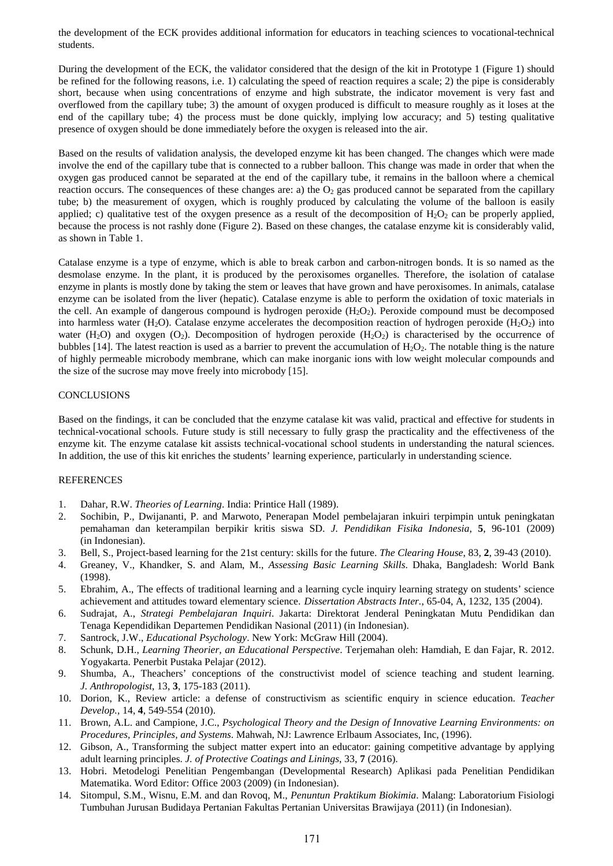the development of the ECK provides additional information for educators in teaching sciences to vocational-technical students.

During the development of the ECK, the validator considered that the design of the kit in Prototype 1 (Figure 1) should be refined for the following reasons, i.e. 1) calculating the speed of reaction requires a scale; 2) the pipe is considerably short, because when using concentrations of enzyme and high substrate, the indicator movement is very fast and overflowed from the capillary tube; 3) the amount of oxygen produced is difficult to measure roughly as it loses at the end of the capillary tube; 4) the process must be done quickly, implying low accuracy; and 5) testing qualitative presence of oxygen should be done immediately before the oxygen is released into the air.

Based on the results of validation analysis, the developed enzyme kit has been changed. The changes which were made involve the end of the capillary tube that is connected to a rubber balloon. This change was made in order that when the oxygen gas produced cannot be separated at the end of the capillary tube, it remains in the balloon where a chemical reaction occurs. The consequences of these changes are: a) the  $O<sub>2</sub>$  gas produced cannot be separated from the capillary tube; b) the measurement of oxygen, which is roughly produced by calculating the volume of the balloon is easily applied; c) qualitative test of the oxygen presence as a result of the decomposition of  $H_2O_2$  can be properly applied, because the process is not rashly done (Figure 2). Based on these changes, the catalase enzyme kit is considerably valid, as shown in Table 1.

Catalase enzyme is a type of enzyme, which is able to break carbon and carbon-nitrogen bonds. It is so named as the desmolase enzyme. In the plant, it is produced by the peroxisomes organelles. Therefore, the isolation of catalase enzyme in plants is mostly done by taking the stem or leaves that have grown and have peroxisomes. In animals, catalase enzyme can be isolated from the liver (hepatic). Catalase enzyme is able to perform the oxidation of toxic materials in the cell. An example of dangerous compound is hydrogen peroxide  $(H<sub>2</sub>O<sub>2</sub>)$ . Peroxide compound must be decomposed into harmless water (H<sub>2</sub>O). Catalase enzyme accelerates the decomposition reaction of hydrogen peroxide (H<sub>2</sub>O<sub>2</sub>) into water (H<sub>2</sub>O) and oxygen (O<sub>2</sub>). Decomposition of hydrogen peroxide (H<sub>2</sub>O<sub>2</sub>) is characterised by the occurrence of bubbles [14]. The latest reaction is used as a barrier to prevent the accumulation of  $H_2O_2$ . The notable thing is the nature of highly permeable microbody membrane, which can make inorganic ions with low weight molecular compounds and the size of the sucrose may move freely into microbody [15].

## **CONCLUSIONS**

Based on the findings, it can be concluded that the enzyme catalase kit was valid, practical and effective for students in technical-vocational schools. Future study is still necessary to fully grasp the practicality and the effectiveness of the enzyme kit. The enzyme catalase kit assists technical-vocational school students in understanding the natural sciences. In addition, the use of this kit enriches the students' learning experience, particularly in understanding science.

#### **REFERENCES**

- 1. Dahar, R.W. *Theories of Learning*. India: Printice Hall (1989).
- 2. Sochibin, P., Dwijananti, P. and Marwoto, Penerapan Model pembelajaran inkuiri terpimpin untuk peningkatan pemahaman dan keterampilan berpikir kritis siswa SD. *J. Pendidikan Fisika Indonesia*, **5**, 96-101 (2009) (in Indonesian).
- 3. Bell, S., Project-based learning for the 21st century: skills for the future. *The Clearing House*, 83, **2**, 39-43 (2010).
- 4. Greaney, V., Khandker, S. and Alam, M., *Assessing Basic Learning Skills*. Dhaka, Bangladesh: World Bank (1998).
- 5. Ebrahim, A., The effects of traditional learning and a learning cycle inquiry learning strategy on students' science achievement and attitudes toward elementary science. *Dissertation Abstracts Inter.*, 65-04, A, 1232, 135 (2004).
- 6. Sudrajat, A., *Strategi Pembelajaran Inquiri*. Jakarta: Direktorat Jenderal Peningkatan Mutu Pendidikan dan Tenaga Kependidikan Departemen Pendidikan Nasional (2011) (in Indonesian).
- 7. Santrock, J.W., *Educational Psychology*. New York: McGraw Hill (2004).
- 8. Schunk, D.H., *Learning Theorier, an Educational Perspective*. Terjemahan oleh: Hamdiah, E dan Fajar, R. 2012. Yogyakarta. Penerbit Pustaka Pelajar (2012).
- 9. Shumba, A., Theachers' conceptions of the constructivist model of science teaching and student learning. *J. Anthropologist*, 13, **3**, 175-183 (2011).
- 10. Dorion, K., Review article: a defense of constructivism as scientific enquiry in science education. *Teacher Develop.,* 14, **4**, 549-554 (2010).
- 11. Brown, A.L. and Campione, J.C., *Psychological Theory and the Design of Innovative Learning Environments: on Procedures, Principles, and Systems*. Mahwah, NJ: Lawrence Erlbaum Associates, Inc, (1996).
- 12. Gibson, A., Transforming the subject matter expert into an educator: gaining competitive advantage by applying adult learning principles. *J. of Protective Coatings and Linings*, 33, **7** (2016).
- 13. Hobri. Metodelogi Penelitian Pengembangan (Developmental Research) Aplikasi pada Penelitian Pendidikan Matematika. Word Editor: Office 2003 (2009) (in Indonesian).
- 14. Sitompul, S.M., Wisnu, E.M. and dan Rovoq, M., *Penuntun Praktikum Biokimia*. Malang: Laboratorium Fisiologi Tumbuhan Jurusan Budidaya Pertanian Fakultas Pertanian Universitas Brawijaya (2011) (in Indonesian).